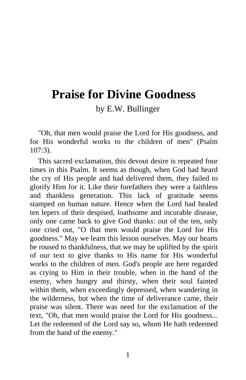# **Praise for Divine Goodness**

by E.W. Bullinger

"Oh, that men would praise the Lord for His goodness, and for His wonderful works to the children of men" (Psalm 107:3).

This sacred exclamation, this devout desire is repeated four times in this Psalm. It seems as though, when God had heard the cry of His people and had delivered them, they failed to glorify Him for it. Like their forefathers they were a faithless and thankless generation. This lack of gratitude seems stamped on human nature. Hence when the Lord had healed ten lepers of their despised, loathsome and incurable disease, only one came back to give God thanks: out of the ten, only one cried out, "O that men would praise the Lord for His goodness." May we learn this lesson ourselves. May our hearts be roused to thankfulness, that we may be uplifted by the spirit of our text to give thanks to His name for His wonderful works to the children of men. God's people are here regarded as crying to Him in their trouble, when in the hand of the enemy, when hungry and thirsty, when their soul fainted within them, when exceedingly depressed, when wandering in the wilderness, but when the time of deliverance came, their praise was silent. There was need for the exclamation of the text, "Oh, that men would praise the Lord for His goodness... Let the redeemed of the Lord say so, whom He hath redeemed from the hand of the enemy."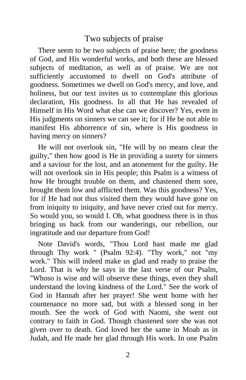# Two subjects of praise

There seem to be two subjects of praise here; the goodness of God, and His wonderful works, and both these are blessed subjects of meditation, as well as of praise. We are not sufficiently accustomed to dwell on God's attribute of goodness. Sometimes we dwell on God's mercy, and love, and holiness, but our text invites us to contemplate this glorious declaration, His goodness. In all that He has revealed of Himself in His Word what else can we discover? Yes, even in His judgments on sinners we can see it; for if He be not able to manifest His abhorrence of sin, where is His goodness in having mercy on sinners?

He will not overlook sin, "He will by no means clear the guilty," then how good is He in providing a surety for sinners and a saviour for the lost, and an atonement for the guilty. He will not overlook sin in His people; this Psalm is a witness of how He brought trouble on them, and chastened them sore, brought them low and afflicted them. Was this goodness? Yes, for if He had not thus visited them they would have gone on from iniquity to iniquity, and have never cried out for mercy. So would you, so would I. Oh, what goodness there is in thus bringing us back from our wanderings, our rebellion, our ingratitude and our departure from God!

Note David's words, "Thou Lord hast made me glad through Thy work " (Psalm 92:4). "Thy work," not "my work." This will indeed make us glad and ready to praise the Lord. That is why he says in the last verse of our Psalm, "Whoso is wise and will observe these things, even they shall understand the loving kindness of the Lord." See the work of God in Hannah after her prayer! She went home with her countenance no more sad, but with a blessed song in her mouth. See the work of God with Naomi, she went out contrary to faith in God. Though chastened sore she was not given over to death. God loved her the same in Moab as in Judah, and He made her glad through His work. In one Psalm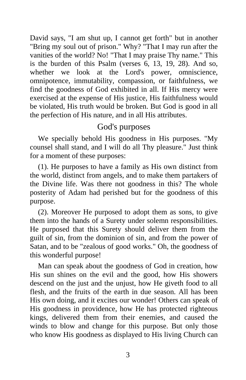David says, "I am shut up, I cannot get forth" but in another "Bring my soul out of prison." Why? "That I may run after the vanities of the world? No! "That I may praise Thy name." This is the burden of this Psalm (verses 6, 13, 19, 28). And so, whether we look at the Lord's power, omniscience, omnipotence, immutability, compassion, or faithfulness, we find the goodness of God exhibited in all. If His mercy were exercised at the expense of His justice, His faithfulness would be violated, His truth would be broken. But God is good in all the perfection of His nature, and in all His attributes.

# God's purposes

We specially behold His goodness in His purposes. "My counsel shall stand, and I will do all Thy pleasure." Just think for a moment of these purposes:

(1). He purposes to have a family as His own distinct from the world, distinct from angels, and to make them partakers of the Divine life. Was there not goodness in this? The whole posterity of Adam had perished but for the goodness of this purpose.

(2). Moreover He purposed to adopt them as sons, to give them into the hands of a Surety under solemn responsibilities. He purposed that this Surety should deliver them from the guilt of sin, from the dominion of sin, and from the power of Satan, and to be "zealous of good works." Oh, the goodness of this wonderful purpose!

Man can speak about the goodness of God in creation, how His sun shines on the evil and the good, how His showers descend on the just and the unjust, how He giveth food to all flesh, and the fruits of the earth in due season. All has been His own doing, and it excites our wonder! Others can speak of His goodness in providence, how He has protected righteous kings, delivered them from their enemies, and caused the winds to blow and change for this purpose. But only those who know His goodness as displayed to His living Church can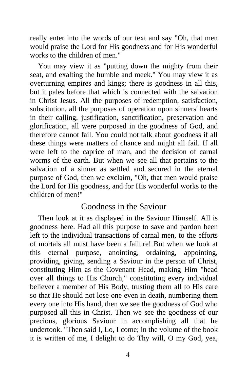really enter into the words of our text and say "Oh, that men would praise the Lord for His goodness and for His wonderful works to the children of men."

You may view it as "putting down the mighty from their seat, and exalting the humble and meek." You may view it as overturning empires and kings; there is goodness in all this, but it pales before that which is connected with the salvation in Christ Jesus. All the purposes of redemption, satisfaction, substitution, all the purposes of operation upon sinners' hearts in their calling, justification, sanctification, preservation and glorification, all were purposed in the goodness of God, and therefore cannot fail. You could not talk about goodness if all these things were matters of chance and might all fail. If all were left to the caprice of man, and the decision of carnal worms of the earth. But when we see all that pertains to the salvation of a sinner as settled and secured in the eternal purpose of God, then we exclaim, "Oh, that men would praise the Lord for His goodness, and for His wonderful works to the children of men!"

#### Goodness in the Saviour

Then look at it as displayed in the Saviour Himself. All is goodness here. Had all this purpose to save and pardon been left to the individual transactions of carnal men, to the efforts of mortals all must have been a failure! But when we look at this eternal purpose, anointing, ordaining, appointing, providing, giving, sending a Saviour in the person of Christ, constituting Him as the Covenant Head, making Him "head over all things to His Church," constituting every individual believer a member of His Body, trusting them all to His care so that He should not lose one even in death, numbering them every one into His hand, then we see the goodness of God who purposed all this in Christ. Then we see the goodness of our precious, glorious Saviour in accomplishing all that he undertook. "Then said I, Lo, I come; in the volume of the book it is written of me, I delight to do Thy will, O my God, yea,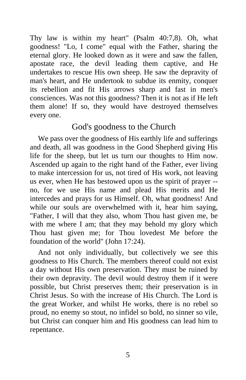Thy law is within my heart" (Psalm 40:7,8). Oh, what goodness! "Lo, I come" equal with the Father, sharing the eternal glory. He looked down as it were and saw the fallen, apostate race, the devil leading them captive, and He undertakes to rescue His own sheep. He saw the depravity of man's heart, and He undertook to subdue its enmity, conquer its rebellion and fit His arrows sharp and fast in men's consciences. Was not this goodness? Then it is not as if He left them alone! If so, they would have destroyed themselves every one.

## God's goodness to the Church

We pass over the goodness of His earthly life and sufferings and death, all was goodness in the Good Shepherd giving His life for the sheep, but let us turn our thoughts to Him now. Ascended up again to the right hand of the Father, ever living to make intercession for us, not tired of His work, not leaving us ever, when He has bestowed upon us the spirit of prayer - no, for we use His name and plead His merits and He intercedes and prays for us Himself. Oh, what goodness! And while our souls are overwhelmed with it, hear him saying, "Father, I will that they also, whom Thou hast given me, be with me where I am; that they may behold my glory which Thou hast given me; for Thou lovedest Me before the foundation of the world" (John 17:24).

And not only individually, but collectively we see this goodness to His Church. The members thereof could not exist a day without His own preservation. They must be ruined by their own depravity. The devil would destroy them if it were possible, but Christ preserves them; their preservation is in Christ Jesus. So with the increase of His Church. The Lord is the great Worker, and whilst He works, there is no rebel so proud, no enemy so stout, no infidel so bold, no sinner so vile, but Christ can conquer him and His goodness can lead him to repentance.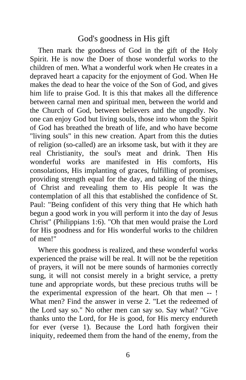### God's goodness in His gift

Then mark the goodness of God in the gift of the Holy Spirit. He is now the Doer of those wonderful works to the children of men. What a wonderful work when He creates in a depraved heart a capacity for the enjoyment of God. When He makes the dead to hear the voice of the Son of God, and gives him life to praise God. It is this that makes all the difference between carnal men and spiritual men, between the world and the Church of God, between believers and the ungodly. No one can enjoy God but living souls, those into whom the Spirit of God has breathed the breath of life, and who have become "living souls" in this new creation. Apart from this the duties of religion (so-called) are an irksome task, but with it they are real Christianity, the soul's meat and drink. Then His wonderful works are manifested in His comforts, His consolations, His implanting of graces, fulfilling of promises, providing strength equal for the day, and taking of the things of Christ and revealing them to His people It was the contemplation of all this that established the confidence of St. Paul: "Being confident of this very thing that He which hath begun a good work in you will perform it into the day of Jesus Christ" (Philippians 1:6). "Oh that men would praise the Lord for His goodness and for His wonderful works to the children of men!"

Where this goodness is realized, and these wonderful works experienced the praise will be real. It will not be the repetition of prayers, it will not be mere sounds of harmonies correctly sung, it will not consist merely in a bright service, a pretty tune and appropriate words, but these precious truths will be the experimental expression of the heart. Oh that men -- ! What men? Find the answer in verse 2. "Let the redeemed of the Lord say so." No other men can say so. Say what? "Give thanks unto the Lord, for He is good, for His mercy endureth for ever (verse 1). Because the Lord hath forgiven their iniquity, redeemed them from the hand of the enemy, from the